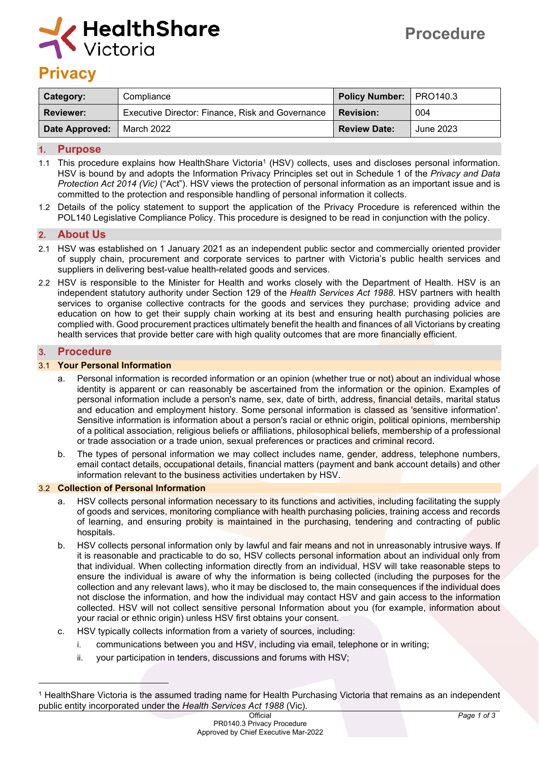

# **Privacy**

| Category:      | Compliance                                              | Policy Number:   PRO140.3 |           |
|----------------|---------------------------------------------------------|---------------------------|-----------|
| Reviewer:      | <b>Executive Director: Finance, Risk and Governance</b> | <b>Revision:</b>          | 004       |
| Date Approved: | March 2022                                              | <b>Review Date:</b>       | June 2023 |

#### **1. Purpose**

- 1.1 This procedure explains how HealthShare Victoria<sup>1</sup> (HSV) collects, uses and discloses personal information. HSV is bound by and adopts the Information Privacy Principles set out in Schedule 1 of the *Privacy and Data Protection Act 2014 (Vic)* ("Act"). HSV views the protection of personal information as an important issue and is committed to the protection and responsible handling of personal information it collects.
- 1.2 Details of the policy statement to support the application of the Privacy Procedure is referenced within the POL140 Legislative Compliance Policy. This procedure is designed to be read in conjunction with the policy.

## **2. About Us**

- 2.1 HSV was established on 1 January 2021 as an independent public sector and commercially oriented provider of supply chain, procurement and corporate services to partner with Victoria's public health services and suppliers in delivering best-value health-related goods and services.
- 2.2 HSV is responsible to the Minister for Health and works closely with the Department of Health. HSV is an independent statutory authority under Section 129 of the *Health Services Act 1988*. HSV partners with health services to organise collective contracts for the goods and services they purchase; providing advice and education on how to get their supply chain working at its best and ensuring health purchasing policies are complied with. Good procurement practices ultimately benefit the health and finances of all Victorians by creating health services that provide better care with high quality outcomes that are more financially efficient.

#### **3. Procedure**

#### 3.1 **Your Personal Information**

- a. Personal information is recorded information or an opinion (whether true or not) about an individual whose identity is apparent or can reasonably be ascertained from the information or the opinion. Examples of personal information include a person's name, sex, date of birth, address, financial details, marital status and education and employment history. Some personal information is classed as 'sensitive information'. Sensitive information is information about a person's racial or ethnic origin, political opinions, membership of a political association, religious beliefs or affiliations, philosophical beliefs, membership of a professional or trade association or a trade union, sexual preferences or practices and criminal record.
- b. The types of personal information we may collect includes name, gender, address, telephone numbers, email contact details, occupational details, financial matters (payment and bank account details) and other information relevant to the business activities undertaken by HSV.

#### 3.2 **Collection of Personal Information**

- a. HSV collects personal information necessary to its functions and activities, including facilitating the supply of goods and services, monitoring compliance with health purchasing policies, training access and records of learning, and ensuring probity is maintained in the purchasing, tendering and contracting of public hospitals.
- b. HSV collects personal information only by lawful and fair means and not in unreasonably intrusive ways. If it is reasonable and practicable to do so, HSV collects personal information about an individual only from that individual. When collecting information directly from an individual, HSV will take reasonable steps to ensure the individual is aware of why the information is being collected (including the purposes for the collection and any relevant laws), who it may be disclosed to, the main consequences if the individual does not disclose the information, and how the individual may contact HSV and gain access to the information collected. HSV will not collect sensitive personal Information about you (for example, information about your racial or ethnic origin) unless HSV first obtains your consent.
- c. HSV typically collects information from a variety of sources, including:
	- i. communications between you and HSV, including via email, telephone or in writing;
	- ii. your participation in tenders, discussions and forums with HSV;

<sup>1</sup> HealthShare Victoria is the assumed trading name for Health Purchasing Victoria that remains as an independent public entity incorporated under the *Health Services Act 1988* (Vic).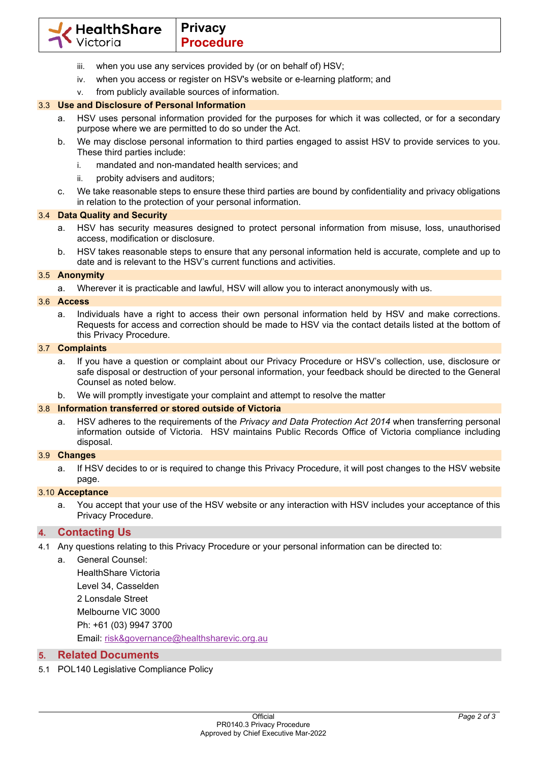

- iii. when you use any services provided by (or on behalf of) HSV;
- iv. when you access or register on HSV's website or e-learning platform; and
- v. from publicly available sources of information.

# 3.3 **Use and Disclosure of Personal Information**

- a. HSV uses personal information provided for the purposes for which it was collected, or for a secondary purpose where we are permitted to do so under the Act.
- b. We may disclose personal information to third parties engaged to assist HSV to provide services to you. These third parties include:
	- i. mandated and non-mandated health services; and
	- ii. probity advisers and auditors;
- c. We take reasonable steps to ensure these third parties are bound by confidentiality and privacy obligations in relation to the protection of your personal information.

# 3.4 **Data Quality and Security**

- a. HSV has security measures designed to protect personal information from misuse, loss, unauthorised access, modification or disclosure.
- b. HSV takes reasonable steps to ensure that any personal information held is accurate, complete and up to date and is relevant to the HSV's current functions and activities.

# 3.5 **Anonymity**

a. Wherever it is practicable and lawful, HSV will allow you to interact anonymously with us.

# 3.6 **Access**

a. Individuals have a right to access their own personal information held by HSV and make corrections. Requests for access and correction should be made to HSV via the contact details listed at the bottom of this Privacy Procedure.

#### 3.7 **Complaints**

- a. If you have a question or complaint about our Privacy Procedure or HSV's collection, use, disclosure or safe disposal or destruction of your personal information, your feedback should be directed to the General Counsel as noted below.
- b. We will promptly investigate your complaint and attempt to resolve the matter

## 3.8 **Information transferred or stored outside of Victoria**

a. HSV adheres to the requirements of the *Privacy and Data Protection Act 2014* when transferring personal information outside of Victoria. HSV maintains Public Records Office of Victoria compliance including disposal.

#### 3.9 **Changes**

a. If HSV decides to or is required to change this Privacy Procedure, it will post changes to the HSV website page.

## 3.10 **Acceptance**

a. You accept that your use of the HSV website or any interaction with HSV includes your acceptance of this Privacy Procedure.

## **4. Contacting Us**

- 4.1 Any questions relating to this Privacy Procedure or your personal information can be directed to:
	- a. General Counsel:

HealthShare Victoria

Level 34, Casselden

2 Lonsdale Street

Melbourne VIC 3000

Ph: +61 (03) 9947 3700

Email: risk&governance@healthsharevic.org.au

# **5. Related Documents**

5.1 POL140 Legislative Compliance Policy